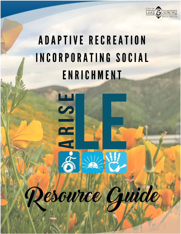

# **ADAPTIVE RECREATION** INCORPORATING SOCIAL ENRICHMENT



esource Guide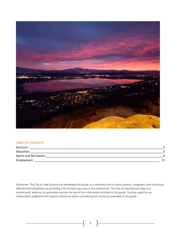

### TABLE OF CONTENTS

| ADVOCACY              |  |
|-----------------------|--|
| Education             |  |
| Sports and Recreation |  |
| Employment            |  |

Disclaimer: The City of Lake Elsinore has developed this guide as a reference tool to assist parents, caregivers, and individuals affected with disabilities by providing a list of local resources in the community. The City of Lake Elsinore does not recommend, endorse, or guarantee services for any of the information included in this guide. You are urged to use independent judgment and request references when considering any resources provided in this guide.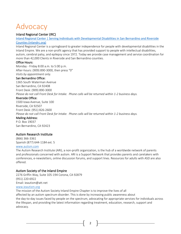## <span id="page-2-0"></span>Advocacy

## Inland Regional Center (IRC)

[Inland Regional Center | Serving Individuals with Developmental Disabilities in San Bernardino and Riverside](https://www.inlandrc.org/)  [Counties \(inlandrc.org\)](https://www.inlandrc.org/)

Inland Regional Center is a springboard to greater independence for people with developmental disabilities in the Inland Empire. We are a non-profit agency that has provided support to people with intellectual disabilities, autism, cerebral palsy, and epilepsy since 1972. Today we provide case management and service coordination for more than 42,000 Clients in Riverside and San Bernardino counties.

## Office Hours:

Monday - Friday 8:00 a.m. to 5:00 p.m. After-hours: (909) 890-3000, then press "0" *Visits by appointment only.*

## San Bernardino Office:

1365 South Waterman Avenue San Bernardino, CA 92408 Front Desk: (909) 890-3000 *Please do not call Front Desk for Intake. Phone calls will be returned within 1-2 business days.*

## Riverside Office:

1500 Iowa Avenue, Suite 100 Riverside, CA 92507 Front Desk: (951) 826-2600 *Please do not call Front Desk for Intake. Phone calls will be returned within 1-2 business days.*

## Mailing Address:

P.O. Box 19037 San Bernardino, CA 92423

## Autism Research Institute

(866) 366-3361 Spanish (877) 644-1184 ext. 5

### [www.autism.com](http://www.autism.com/)

The Autism Research Institute (ARI), a non-profit organization, is the hub of a worldwide network of parents and professionals concerned with autism. ARI is a Support Network that provides parents and caretakers with conferences, e-newsletters, online discussion forums, and support lines. Resources for adults with ASD are also offered.

## Autism Society of the Inland Empire

2276 Griffin Way, Suite 105-194 Corona, CA 92879 (951) 220-6922 Email: ieautism@att.net [www.ieautism.org](http://www.ieautism.org/)

The mission of the Autism Society Inland Empire Chapter is to improve the lives of all affected by an autism spectrum disorder. This is done by increasing public awareness about the day-to-day issues faced by people on the spectrum, advocating for appropriate services for individuals across the lifespan, and providing the latest information regarding treatment, education, research, support and advocacy.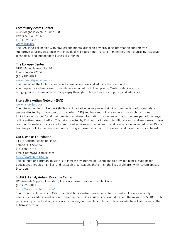## Community Access Center

6848 Magnolia Avenue, Suite 150 Riverside, CA 92506 (951) 274-0358 [www.ilcac.org](http://www.ilcac.org/)

## The CAC serves all people with physical and mental disabilities by providing information and referrals, supportive services, assistance with Individualized Educational Plans (IEP) meetings, peer counseling, assistive technology, and independent living skills training.

## The Epilepsy Center

6185 Magnolia Ave., Ste. 63 Riverside, CA 92506 (951) 281-9892 [www.theepilepsycenter.org](http://www.theepilepsycenter.org/)

The mission of The Epilepsy Center is to raise awareness and educate the community about epilepsy and empower those who are affected by it. The Epilepsy Center is dedicated to bringing hope to those affected by epilepsy through continued services, support, and education.

## Interactive Autism Network (IAN)

## [www.ianproject.org](http://www.ianproject.org/)

The Interactive Autism Network (IAN) is an innovative online project bringing together tens of thousands of people affected by autism spectrum disorders (ASD) and hundreds of researchers in a search for answers. Individuals with an ASD and their families can share information in a secure setting to become part of the largest online autism research effort. The data collected by IAN both facilitates scientific research and empowers autism community leaders to advocate for improved services and resources. In addition, anyone impacted by an ASD can become part of IAN's online community to stay informed about autism research and make their voices heard.

## Our Nicholas Foundation

31493 Rancho Pueblo Rd. #205 Temecula, CA 92592 (951) 303-8732 Email: TeamONF@gmail.com <http://www.ournick.org/>

The Foundation's primary mission is to increase awareness of Autism and to provide financial support for education, therapies, families, and research organizations that enrich the lives of children with Autism Spectrum Disorders.

## SEARCH Family Autism Resource Center

UC Riverside Support, Education, Advocacy, Resources, Community, Hope (951) 827-3849

## <https://searchcenter.ucr.edu/>

SEARCH is the University of California's first family autism resource center focused exclusively on family needs, such as educational access. Housed in the UCR Graduate School of Education, the mission of SEARCH is to provide support, education, advocacy, resources, community and hope to families who have loved ones on the autism spectrum.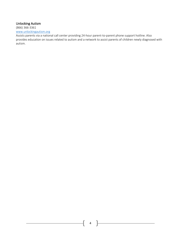## Unlocking Autism

(866) 366-3361 [www.unlockingautism.org](http://www.unlockingautism.org/)

Assists parents via a national call center providing 24-hour parent-to-parent phone support hotline. Also provides education on issues related to autism and a network to assist parents of children newly diagnosed with autism.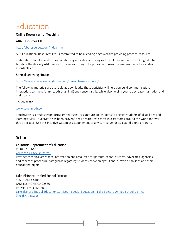## <span id="page-5-0"></span>Education

## Online Resources for Teaching

## ABA Resources LTD

## <http://abaresources.com/index.htm>

ABA Educational Resources Ltd. is committed to be a leading-edge website providing practical resource

materials for families and professionals using educational strategies for children with autism. Our goal is to facilitate the delivery ABA services to families through the provision of resource materials at a free and/or affordable cost.

## Special Learning House

## <https://www.speciallearninghouse.com/free-autism-resources/>

The following materials are available as downloads. These activities will help you build communication, interaction, self-help (think, teeth brushing!) and sensory skills, while also helping you to decrease frustration and meltdowns.

## Touch Math

## [www.touchmath.com](http://www.touchmath.com/)

TouchMath is a multisensory program that uses its signature TouchPoints to engage students of all abilities and learning styles. TouchMath has been proven to raise math test scores in classrooms around the world for over three decades. Use this intuitive system as a supplement to any curriculum or as a stand-alone program.

## **Schools**

## California Department of Education

(800) 926-0648

## [www.cde.ca.gov/sp/se/fp/](http://www.cde.ca.gov/sp/se/fp/)

Provides technical assistance information and resources for parents, school districts, advocates, agencies and others of procedural safeguards regarding students between ages 3 and 21 with disabilities and their educational rights.

## Lake Elsinore Unified School District

545 CHANEY STREET LAKE ELSINORE, CA 92530 PHONE: (951) 253-7000 [Lake Elsinore Special Education Services](https://www.leusd.k12.ca.us/apps/pages/index.jsp?uREC_ID=325300&type=d&pREC_ID=733479) – Special Education – Lake Elsinore Unified School District [\(leusd.k12.ca.us\)](https://www.leusd.k12.ca.us/apps/pages/index.jsp?uREC_ID=325300&type=d&pREC_ID=733479)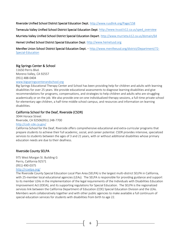Riverside Unified School District Special Education Dept. <http://www.rusdlink.org/Page/158>

Temecula Valley Unified School District Special Education Dept[. http://www.tvusd.k12.ca.us/sped\\_overview](http://www.tvusd.k12.ca.us/sped_overview)

Murrieta Valley Unified School District Special Education Depart.<http://www.murrieta.k12.ca.us/domain/64>

Hemet Unified School District Special Education Dept[. http://www.hemetusd.org](http://www.hemetusd.org/)

Menifee Union School District Special Education Dept. – [http://www.menifeeusd.org/district/Department/72-](http://www.menifeeusd.org/district/Department/72-Special-Education) [Special-Education](http://www.menifeeusd.org/district/Department/72-Special-Education)

## Big Springs Center & School

11650 Perris Blvd. Moreno Valley, CA 92557 (951) 488-0404

[www.bigspringscenterandschool.org](http://www.bigspringscenterandschool.org/)

Big Springs Educational Therapy Center and School has been providing help for children and adults with learning disabilities for over 25 years. We provide educational assessments to diagnose learning disabilities and give recommendations for programs, compensations, and strategies to help children and adults who are struggling academically or on the job. We also provide one-on-one individualized therapy sessions, a full-time private school for elementary age children, a half-time middle school campus, and resources and information on learning disabilities.

## California School for the Deaf, Riverside (CSDR)

3044 Horace Street Riverside, CA 92506(951) 248-7700 <http://csdr-cde.ca.gov/>

California School for the Deaf, Riverside offers comprehensive educational and extra-curricular programs that prepare students to achieve their full academic, social, and career potential. CSDR provides intensive, specialized services to students between the ages of 3 and 21 years, with or without additional disabilities whose primary education needs are due to their deafness.

## Riverside County SELPA

975 West Morgan St. Building G Perris, California 92571 (951) 490-0375 <http://rcselpa.org/>

The Riverside County Special Education Local Plan Area (SELPA) is the largest multi-district SELPA in California, with 25-member local educational agencies (LEAs). The SELPA is responsible for providing guidance and support to its member LEAs in the implementation of the legal requirements of the Individuals with Disabilities Education Improvement Act (IDEIA), and its supporting regulations for Special Education. The SELPA is the regionalized services link between the California Department of Education (CDE) Special Education Division and the LEAs. Members work collaboratively together and with other public agencies to make available a full continuum of special education services for students with disabilities from birth to age 22.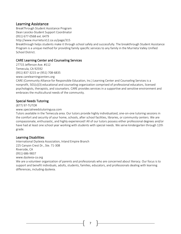## Learning Assistance

BreakThrough Student Assistance Program Dean Lesicko-Student Support Coordinator

(951) 677-0568 ext. 6479

http://www.murrieta.k12.ca.us/page/315

Breakthrough helps students make it through school safely and successfully. The breakthrough Student Assistance Program is a unique method for providing family specific services to any family in the Murrieta Valley Unified School District.

## CARE Learning Center and Counseling Services

27715 Jefferson Ave. #112 Temecula, CA 92592 (951) 837-3215 or (951) 708-6835 www.carelearningcenters.org

CARE (Community Alliance for Responsible Education, Inc.) Learning Center and Counseling Services is a nonprofit, 501(c)(3) educational and counseling organization comprised of professional educators, licensed psychologists, therapists, and counselors. CARE provides services in a supportive and sensitive environment and embraces the multicultural needs of the community.

## Special Needs Tutoring

(877) 97-TUTOR

www.specialneedstutoringusa.com

Tutors available in the Temecula area. Our tutors provide highly individualized, one-on-one tutoring sessions in the comfort and security of your home, schools, after school facilities, libraries, or community centers. We are compassionate, enthusiastic, and highly experienced! All of our tutors possess either professional degrees and/or have had at least one school year working with students with special needs. We serve kindergarten through 12th grade.

## Learning Disabilities

International Dyslexia Association, Inland Empire Branch 225 Canyon Crest Dr., Ste. 71-308 Riverside, CA (951) 686-9837 www.dyslexia-ca.org

We are a volunteer organization of parents and professionals who are concerned about literacy. Our focus is to support and benefit individuals, adults, students, families, educators, and professionals dealing with learning differences, including dyslexia.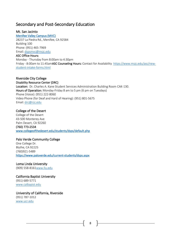## Secondary and Post-Secondary Education

Mt. San Jacinto

[Menifee Valley Campus \(MVC\)](https://www.msjc.edu/locations/Menifee-Valley-Campus.html) 28237 La Piedra Rd., Menifee, CA 92584 Building 100 Phone: (951) 465-7969 Email: [dspsmvc@msjc.edu](mailto:dspsmvc@msjc.edu?subject=) ASC Office Hours: Monday - Thursday from 8:00am to 4:30pm

Friday - 8:00am to 11:45amASC Counseling Hours: Contact for Availability [https://www.msjc.edu/asc/new](https://www.msjc.edu/asc/new-student-intake-forms.html)[student-intake-forms.html](https://www.msjc.edu/asc/new-student-intake-forms.html)

## Riverside City College

Disability Resource Center (DRC) Location: Dr. Charles A. Kane Student Services Administration Building Room CAK-130. Hours of Operation: Monday-Friday 8 am to 5 pm (6 pm on Tuesdays) Phone (Voice): (951) 222-8060 Video Phone (for Deaf and Hard of Hearing): (951) 801-5675 Email: [drc@rcc.edu](mailto:drc@rcc.edu)

## College of the Desert

College of the Desert 43-500 Monterey Ave Palm Desert, CA 92260 (760) 773-2534 [www.collegeofthedesert.edu/students/dsps/default.php](http://www.collegeofthedesert.edu/students/dsps/default.php) 

## Palo Verde Community College

One College Dr. Blythe, CA 92225 (760)921-5489 <https://www.paloverde.edu/current-students/dsps.aspx>

## Loma Linda University

(909) 558-816[1www.llu.edu](http://www.llu.edu/)

## California Baptist University (951) 689-5771 [www.calbapist.edu](http://www.calbapist.edu/)

<span id="page-8-0"></span>University of California, Riverside (951) 787-1012 [www.ucr.edu](http://www.ucr.edu/)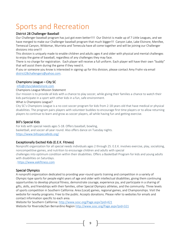## Sports and Recreation

## District 28 Challenger Baseball

Our Challenger baseball program has just got even better!!!! Our District is made up of 7 Little Leagues, and we have merged to make our Challenger baseball program that much bigger!!! Canyon Lake, Lake Elsinore, Menifee, Temescal Canyon, Wildomar, Murrieta and Temecula have all come together and will be joining our Challenger divisions into one!!!

This division is uniquely made to enable children and adults ages 4 and older with physical and mental challenges to enjoy the game of baseball, regardless of any challenges they may face.

There is no charge for registration. Each player will receive a full uniform. Each player will have their own "buddy" that will assist them during the game if they need it.

If you or someone you know is interested in signing up for this division, please contact Amy Frahn via email [district28challengers@yahoo.com.](mailto:district28challengers@yahoo.com)

## Champions League – City SC

## [info@citysclakeelsinore.com](mailto:info@citysclakeelsinore.com)

### Champions League Mission Statement

Our mission is to provide all kids with a chance to play soccer, while giving their families a chance to watch their kids participate in a sport with other kids in a fun, safe environment.

### What is Champions League?

City SC's Champions League is a no cost soccer program for kids from 2-18 years old that have medical or physical disabilities. The program pairs players with volunteer buddies to encourage first time players or to allow returning players to continue to learn and grow as soccer players, all while having fun and getting exercise.

## Bill's Special Kids

For kids with special needs ages 5-18. Offers baseball, bowling, basketball, and soccer all year round. Also offers dance on Tuesday nights. <https://www.billsspecialkids.org/>

## Exceptionally Excited Kids (E.E.K. Fitness)

Nonprofit organization for all special needs individuals ages 2 through 25. E.E.K. involves exercise, play, socializing, noncompetitive games, and nutrition to encourage children and adults with special challenges into optimum condition within their disabilities. Offers a Basketball Program for kids and young adults

with disabilities on Saturdays. . [https://www.eekfitness.com](https://www.eekfitness.com/)

## Special Olympics

A nonprofit organization dedicated to providing year-round sports training and competition in a variety of Olympic-type sports for people eight years of age and older with intellectual disabilities, giving them continuing opportunities to develop physical fitness, demonstrate courage, experience joy, and participate in a sharing of gifts, skills, and friendships with their families, other Special Olympics athletes, and the community. Three levels of sports competition in Southern California: Area (Local) games, regional games, and Championships. Visit the website for nearby programs. Free to the public. Accepts donations. Please refer to websites for emails and contact information specific to each area.

Website for Southern California: <http://www.sosc.org/Page.aspx?pid=421> Website for Riverside/San Bernardino Region <http://www.sosc.org/Page.aspx?pid=321>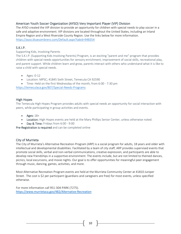## American Youth Soccer Organization (AYSO) Very Important Player (VIP) Division

The AYSO created the VIP division to provide an opportunity for children with special needs to play soccer in a safe and adaptive environment. VIP divisions are located throughout the United States, including an Inland Empire Region and a West Riverside County Region. Use the links below for more information. <https://ayso.bluesombrero.com/Default.aspx?tabid=948354>

## S.K.I.P.

Supporting Kids, Involving Parents

The S.K.I.P. (Supporting Kids Involving Parents) Program, is an exciting "parent and me" program that provides children with special needs opportunities for sensory enrichment, improvement of social skills, recreational play, and parent support. While children learn and grow, parents interact with others who understand what it is like to raise a child with special needs.

- $\bullet$  Ages: 0-12
- Location: MPSC; 41845 Sixth Street, Temecula CA 92590
- Time: Held on the first Wednesday of the month, from 6:00 7:30 pm

<https://temeculaca.gov/807/Special-Needs-Programs>

## High Hopes

The Temecula High Hopes Program provides adults with special needs an opportunity for social interaction with peers, while participating in group activities and events.

- Ages: 18+
- Location: High Hopes events are held at the Mary Phillips Senior Center, unless otherwise noted.
- Day & Time: Fridays from 6:00 9:00

Pre-Registration is required and can be completed online

## City of Murrieta

The City of Murrieta's Alternative Recreation Program (ARP) is a social program for adults, 18 years and older with intellectual and developmental disabilities. Facilitated by a team of city staff, ARP provides supervised events that promote social skills, verbal and non-verbal communications, creative expression, and participants are able to develop new friendships in a supportive environment. The events include, but are not limited to themed dances, picnics, local excursions, and movie nights. Our goal is to offer opportunities for meaningful peer engagement through music, dancing, games, activities, and more.

Most Alternative Recreation Program events are held at the Murrieta Community Center at 41810 Juniper Street. The cost is \$2 per participant (guardians and caregivers are free) for most events, unless specified otherwise.

For more information call 951-304-PARK (7275). <https://www.murrietaca.gov/482/Alternative-Recreation>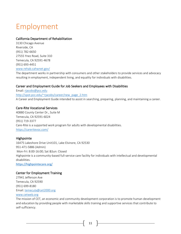## <span id="page-11-0"></span>Employment

## California Department of Rehabilitation

3130 Chicago Avenue Riverside, CA (951) 782-6650 27555 Ynez Road, Suite 310 Temecula, CA 92591-4678 (951) 693-4451 [www.rehab.cahwnet.gov/](http://www.rehab.cahwnet.gov/)

The department works in partnership with consumers and other stakeholders to provide services and advocacy resulting in employment, independent living, and equality for individuals with disabilities.

## Career and Employment Guide for Job Seekers and Employees with Disabilities

Email[: rjacobs@pcc.edu](mailto:rjacobs@pcc.edu) [http://spot.pcc.edu/~rjacobs/career/new\\_page\\_2.htm](http://spot.pcc.edu/~rjacobs/career/new_page_2.htm) A Career and Employment Guide intended to assist in searching, preparing, planning, and maintaining a career.

## Care-Rite Vocational Services

40880 County Center Dr., Suite M Temecula, CA 92591-6024 (951) 719-3377 Care-Rite is a supported work program for adults with developmental disabilities. <https://careritevoc.com/>

## Highpointe

16475 Lakeshore Drive Unit101, Lake Elsinore, CA 92530 951-471-5886 (Admin) Mon-Fri: 8:00-16:00; Sat &Sun: Closed Highpointe is a community-based full-service care facility for individuals with intellectual and developmental disabilities. <https://highpointecare.org/>

## Center for Employment Training

27941 Jefferson Ave Temecula, CA 92590 (951) 699-8180 Email[: temecula@cet2000.org](mailto:temecula@cet2000.org) [www.cetweb.org](http://www.cetweb.org/)

The mission of CET, an economic and community development corporation is to promote human development and education by providing people with marketable skills training and supportive services that contribute to self-sufficiency.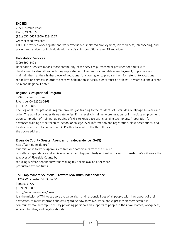## EXCEED

2050 Trumble Road Perris, CA 92572 (951) 657-0609 (800) 423-1227 www.exceed-aws.com EXCEED provides work adjustment, work experience, sheltered employment, job readiness, job coaching, and placement services for individuals with any disabling conditions, ages 18 and older.

## Habilitation Services

(909) 890-3422

Habilitation Services means those community-based services purchased or provided for adults with developmental disabilities, including supported employment or competitive employment, to prepare and maintain them at their highest level of vocational functioning, or to prepare them for referral to vocational rehabilitation services. In order to receive habilitation services, clients must be at least 18 years old and a client of Inland Regional Center.

## Regional Occupational Program

3939 Thirteenth Street Riverside, CA 92502-0868 (951) 826-6810

The Regional Occupational Program provides job training to the residents of Riverside County age 16 years and older. The training includes three categories: Entry level job training—preparation for immediate employment upon completion of training, upgrading of skills to keep pace with changing technology, Preparation for advanced training at the technical school or college level. Information and registration, class descriptions, and locations can be obtained at the R.O.P. office located on the third floor at the above address.

## Riverside County Greater Avenues for Independence (GAIN)

http://gain-riverside.org/ Our mission is to work vigorously to free our participants from the burden of welfare dependence and achieve a better and happier lifestyle of self-sufficient citizenship. We will serve the taxpayer of Riverside County by reducing welfare dependency thus making tax dollars available for more productive expenditures.

## TMI Employment Solutions—Toward Maximum Independence

41707 Winchester Rd., Suite 304 Temecula, CA (952) 296-2090 http://www.tmi-inc.org/cms/

It is the mission of TMI to support the value, right and responsibilities of all people with the support of their advocates, to make informed choices regarding how they live, work, and express their membership in community. We accomplish this by providing personalized supports to people in their own homes, workplaces, schools, families, and neighborhoods.

 $12$   $\uparrow$